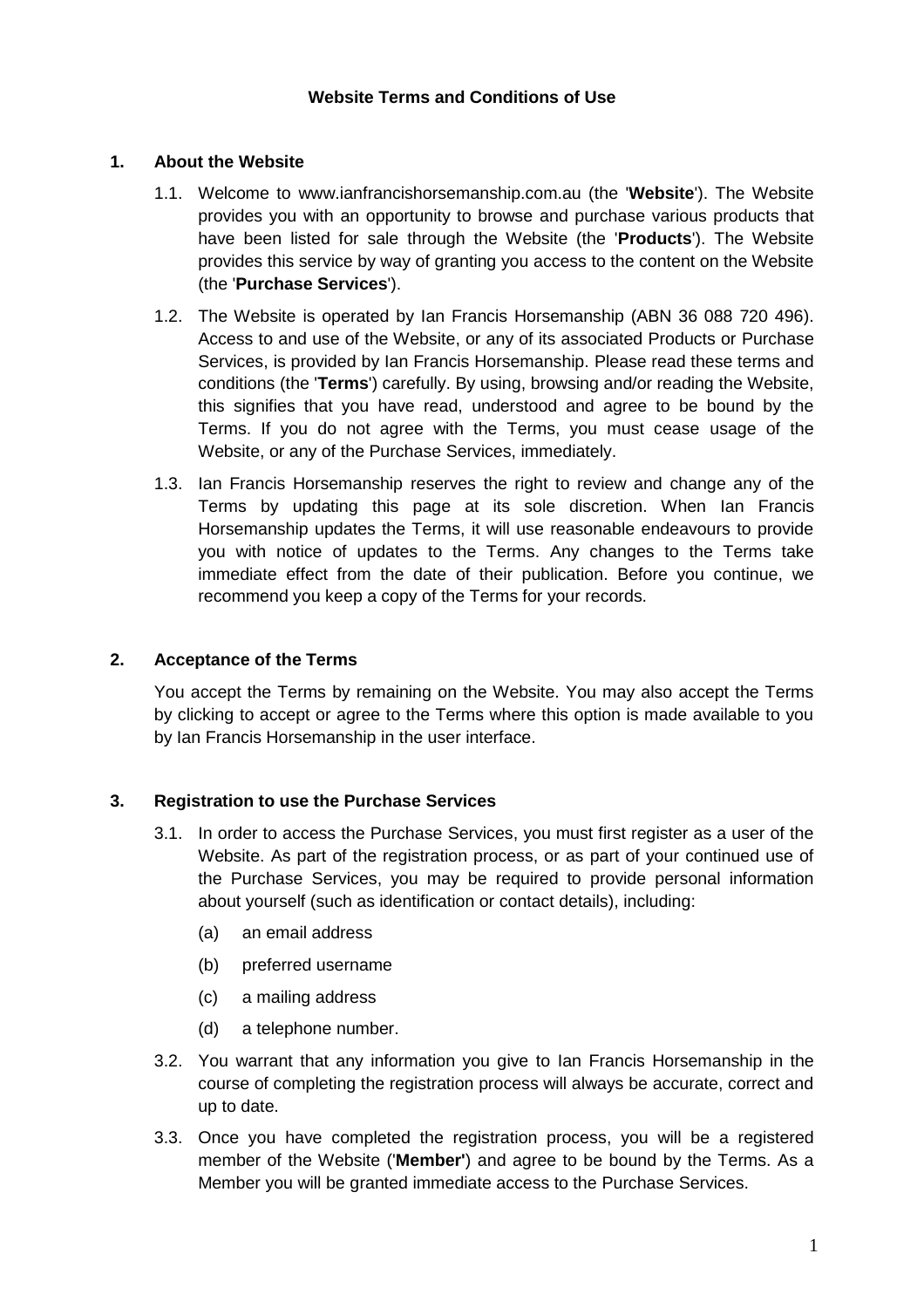## **1. About the Website**

- 1.1. Welcome to www.ianfrancishorsemanship.com.au (the '**Website**'). The Website provides you with an opportunity to browse and purchase various products that have been listed for sale through the Website (the '**Products**'). The Website provides this service by way of granting you access to the content on the Website (the '**Purchase Services**').
- 1.2. The Website is operated by Ian Francis Horsemanship (ABN 36 088 720 496). Access to and use of the Website, or any of its associated Products or Purchase Services, is provided by Ian Francis Horsemanship. Please read these terms and conditions (the '**Terms**') carefully. By using, browsing and/or reading the Website, this signifies that you have read, understood and agree to be bound by the Terms. If you do not agree with the Terms, you must cease usage of the Website, or any of the Purchase Services, immediately.
- 1.3. Ian Francis Horsemanship reserves the right to review and change any of the Terms by updating this page at its sole discretion. When Ian Francis Horsemanship updates the Terms, it will use reasonable endeavours to provide you with notice of updates to the Terms. Any changes to the Terms take immediate effect from the date of their publication. Before you continue, we recommend you keep a copy of the Terms for your records.

#### **2. Acceptance of the Terms**

You accept the Terms by remaining on the Website. You may also accept the Terms by clicking to accept or agree to the Terms where this option is made available to you by Ian Francis Horsemanship in the user interface.

#### **3. Registration to use the Purchase Services**

- 3.1. In order to access the Purchase Services, you must first register as a user of the Website. As part of the registration process, or as part of your continued use of the Purchase Services, you may be required to provide personal information about yourself (such as identification or contact details), including:
	- (a) an email address
	- (b) preferred username
	- (c) a mailing address
	- (d) a telephone number.
- 3.2. You warrant that any information you give to Ian Francis Horsemanship in the course of completing the registration process will always be accurate, correct and up to date.
- 3.3. Once you have completed the registration process, you will be a registered member of the Website ('**Member'**) and agree to be bound by the Terms. As a Member you will be granted immediate access to the Purchase Services.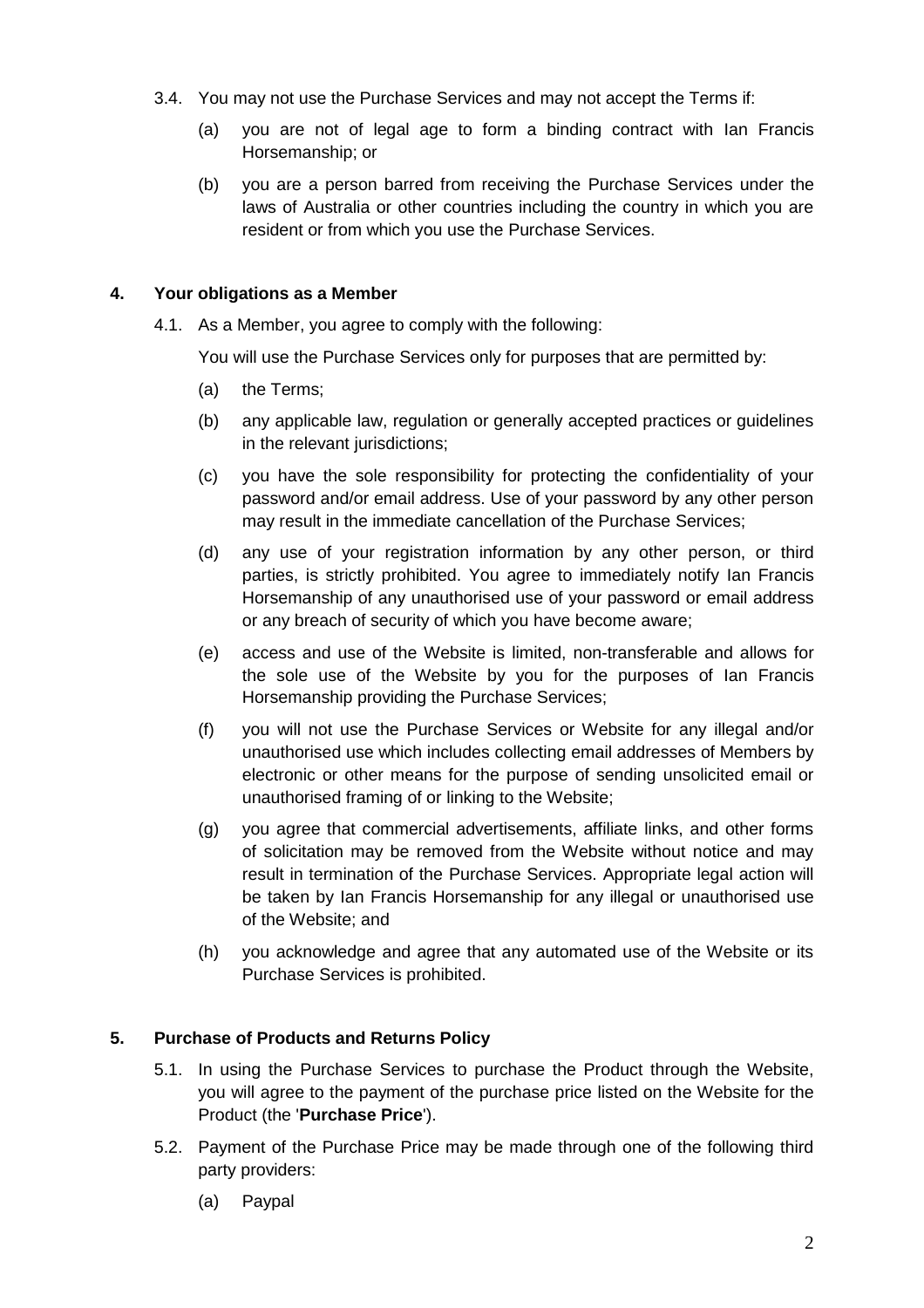- 3.4. You may not use the Purchase Services and may not accept the Terms if:
	- (a) you are not of legal age to form a binding contract with Ian Francis Horsemanship; or
	- (b) you are a person barred from receiving the Purchase Services under the laws of Australia or other countries including the country in which you are resident or from which you use the Purchase Services.

### **4. Your obligations as a Member**

4.1. As a Member, you agree to comply with the following:

You will use the Purchase Services only for purposes that are permitted by:

- (a) the Terms;
- (b) any applicable law, regulation or generally accepted practices or guidelines in the relevant jurisdictions;
- (c) you have the sole responsibility for protecting the confidentiality of your password and/or email address. Use of your password by any other person may result in the immediate cancellation of the Purchase Services;
- (d) any use of your registration information by any other person, or third parties, is strictly prohibited. You agree to immediately notify Ian Francis Horsemanship of any unauthorised use of your password or email address or any breach of security of which you have become aware;
- (e) access and use of the Website is limited, non-transferable and allows for the sole use of the Website by you for the purposes of Ian Francis Horsemanship providing the Purchase Services;
- (f) you will not use the Purchase Services or Website for any illegal and/or unauthorised use which includes collecting email addresses of Members by electronic or other means for the purpose of sending unsolicited email or unauthorised framing of or linking to the Website;
- (g) you agree that commercial advertisements, affiliate links, and other forms of solicitation may be removed from the Website without notice and may result in termination of the Purchase Services. Appropriate legal action will be taken by Ian Francis Horsemanship for any illegal or unauthorised use of the Website; and
- (h) you acknowledge and agree that any automated use of the Website or its Purchase Services is prohibited.

## **5. Purchase of Products and Returns Policy**

- 5.1. In using the Purchase Services to purchase the Product through the Website, you will agree to the payment of the purchase price listed on the Website for the Product (the '**Purchase Price**').
- 5.2. Payment of the Purchase Price may be made through one of the following third party providers:
	- (a) Paypal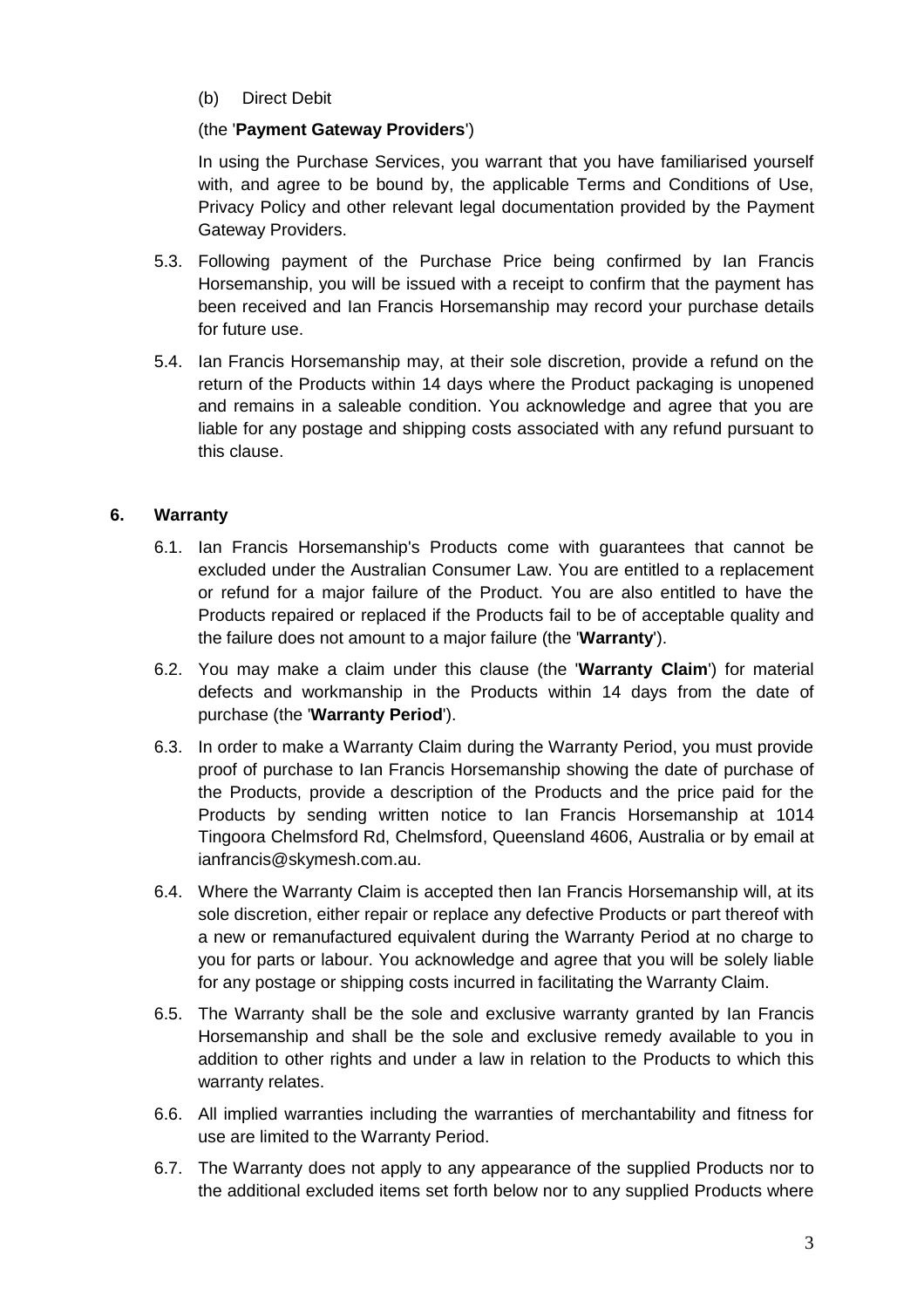(b) Direct Debit

### (the '**Payment Gateway Providers**')

In using the Purchase Services, you warrant that you have familiarised yourself with, and agree to be bound by, the applicable Terms and Conditions of Use, Privacy Policy and other relevant legal documentation provided by the Payment Gateway Providers.

- 5.3. Following payment of the Purchase Price being confirmed by Ian Francis Horsemanship, you will be issued with a receipt to confirm that the payment has been received and Ian Francis Horsemanship may record your purchase details for future use.
- 5.4. Ian Francis Horsemanship may, at their sole discretion, provide a refund on the return of the Products within 14 days where the Product packaging is unopened and remains in a saleable condition. You acknowledge and agree that you are liable for any postage and shipping costs associated with any refund pursuant to this clause.

## **6. Warranty**

- 6.1. Ian Francis Horsemanship's Products come with guarantees that cannot be excluded under the Australian Consumer Law. You are entitled to a replacement or refund for a major failure of the Product. You are also entitled to have the Products repaired or replaced if the Products fail to be of acceptable quality and the failure does not amount to a major failure (the '**Warranty**').
- 6.2. You may make a claim under this clause (the '**Warranty Claim**') for material defects and workmanship in the Products within 14 days from the date of purchase (the '**Warranty Period**').
- 6.3. In order to make a Warranty Claim during the Warranty Period, you must provide proof of purchase to Ian Francis Horsemanship showing the date of purchase of the Products, provide a description of the Products and the price paid for the Products by sending written notice to Ian Francis Horsemanship at 1014 Tingoora Chelmsford Rd, Chelmsford, Queensland 4606, Australia or by email at ianfrancis@skymesh.com.au.
- 6.4. Where the Warranty Claim is accepted then Ian Francis Horsemanship will, at its sole discretion, either repair or replace any defective Products or part thereof with a new or remanufactured equivalent during the Warranty Period at no charge to you for parts or labour. You acknowledge and agree that you will be solely liable for any postage or shipping costs incurred in facilitating the Warranty Claim.
- 6.5. The Warranty shall be the sole and exclusive warranty granted by Ian Francis Horsemanship and shall be the sole and exclusive remedy available to you in addition to other rights and under a law in relation to the Products to which this warranty relates.
- 6.6. All implied warranties including the warranties of merchantability and fitness for use are limited to the Warranty Period.
- 6.7. The Warranty does not apply to any appearance of the supplied Products nor to the additional excluded items set forth below nor to any supplied Products where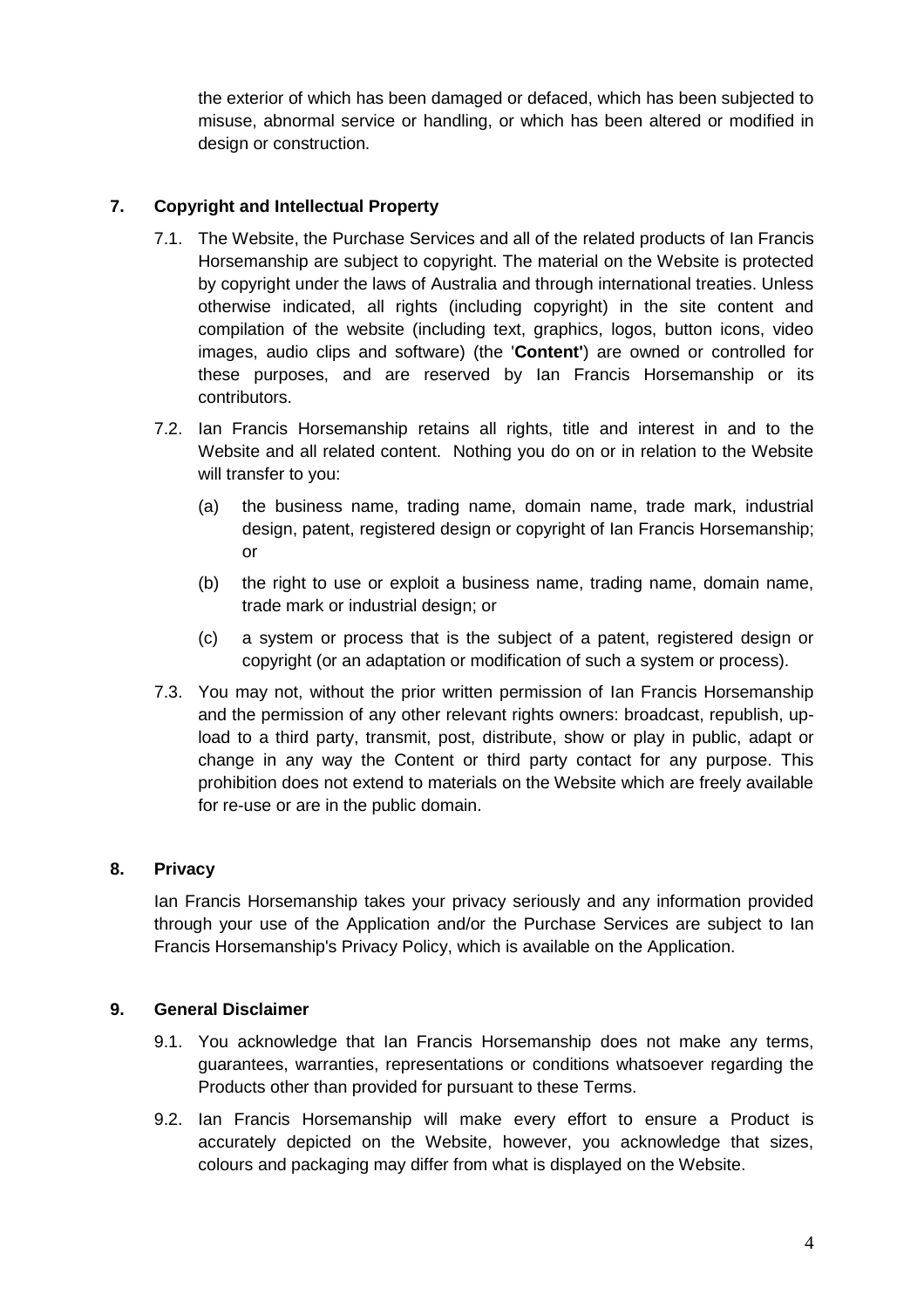the exterior of which has been damaged or defaced, which has been subjected to misuse, abnormal service or handling, or which has been altered or modified in design or construction.

# **7. Copyright and Intellectual Property**

- 7.1. The Website, the Purchase Services and all of the related products of Ian Francis Horsemanship are subject to copyright. The material on the Website is protected by copyright under the laws of Australia and through international treaties. Unless otherwise indicated, all rights (including copyright) in the site content and compilation of the website (including text, graphics, logos, button icons, video images, audio clips and software) (the '**Content'**) are owned or controlled for these purposes, and are reserved by Ian Francis Horsemanship or its contributors.
- 7.2. Ian Francis Horsemanship retains all rights, title and interest in and to the Website and all related content. Nothing you do on or in relation to the Website will transfer to you:
	- (a) the business name, trading name, domain name, trade mark, industrial design, patent, registered design or copyright of Ian Francis Horsemanship; or
	- (b) the right to use or exploit a business name, trading name, domain name, trade mark or industrial design; or
	- (c) a system or process that is the subject of a patent, registered design or copyright (or an adaptation or modification of such a system or process).
- 7.3. You may not, without the prior written permission of Ian Francis Horsemanship and the permission of any other relevant rights owners: broadcast, republish, upload to a third party, transmit, post, distribute, show or play in public, adapt or change in any way the Content or third party contact for any purpose. This prohibition does not extend to materials on the Website which are freely available for re-use or are in the public domain.

## **8. Privacy**

Ian Francis Horsemanship takes your privacy seriously and any information provided through your use of the Application and/or the Purchase Services are subject to Ian Francis Horsemanship's Privacy Policy, which is available on the Application.

## **9. General Disclaimer**

- 9.1. You acknowledge that Ian Francis Horsemanship does not make any terms, guarantees, warranties, representations or conditions whatsoever regarding the Products other than provided for pursuant to these Terms.
- 9.2. Ian Francis Horsemanship will make every effort to ensure a Product is accurately depicted on the Website, however, you acknowledge that sizes, colours and packaging may differ from what is displayed on the Website.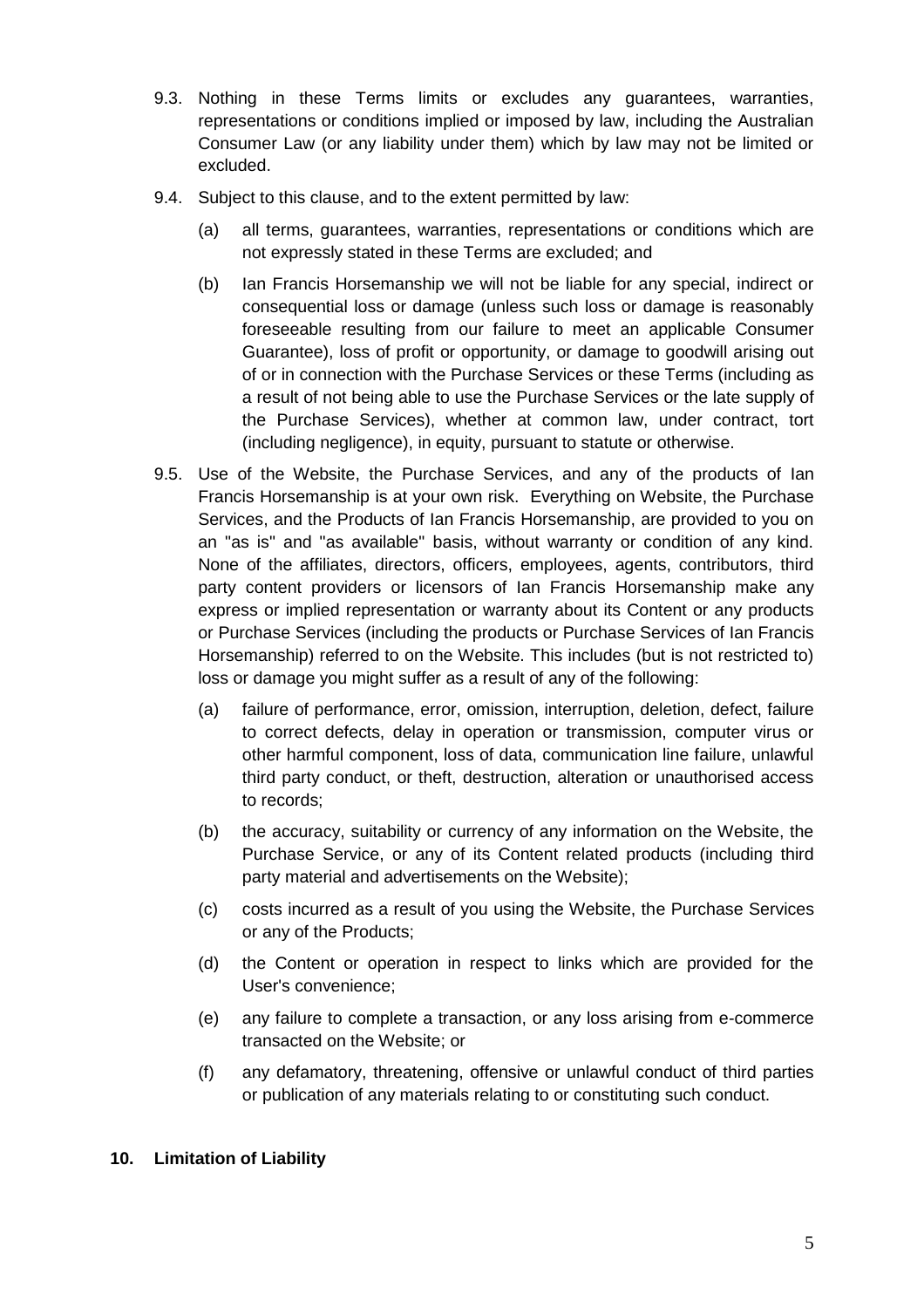- 9.3. Nothing in these Terms limits or excludes any guarantees, warranties, representations or conditions implied or imposed by law, including the Australian Consumer Law (or any liability under them) which by law may not be limited or excluded.
- 9.4. Subject to this clause, and to the extent permitted by law:
	- (a) all terms, guarantees, warranties, representations or conditions which are not expressly stated in these Terms are excluded; and
	- (b) Ian Francis Horsemanship we will not be liable for any special, indirect or consequential loss or damage (unless such loss or damage is reasonably foreseeable resulting from our failure to meet an applicable Consumer Guarantee), loss of profit or opportunity, or damage to goodwill arising out of or in connection with the Purchase Services or these Terms (including as a result of not being able to use the Purchase Services or the late supply of the Purchase Services), whether at common law, under contract, tort (including negligence), in equity, pursuant to statute or otherwise.
- 9.5. Use of the Website, the Purchase Services, and any of the products of Ian Francis Horsemanship is at your own risk. Everything on Website, the Purchase Services, and the Products of Ian Francis Horsemanship, are provided to you on an "as is" and "as available" basis, without warranty or condition of any kind. None of the affiliates, directors, officers, employees, agents, contributors, third party content providers or licensors of Ian Francis Horsemanship make any express or implied representation or warranty about its Content or any products or Purchase Services (including the products or Purchase Services of Ian Francis Horsemanship) referred to on the Website. This includes (but is not restricted to) loss or damage you might suffer as a result of any of the following:
	- (a) failure of performance, error, omission, interruption, deletion, defect, failure to correct defects, delay in operation or transmission, computer virus or other harmful component, loss of data, communication line failure, unlawful third party conduct, or theft, destruction, alteration or unauthorised access to records;
	- (b) the accuracy, suitability or currency of any information on the Website, the Purchase Service, or any of its Content related products (including third party material and advertisements on the Website);
	- (c) costs incurred as a result of you using the Website, the Purchase Services or any of the Products;
	- (d) the Content or operation in respect to links which are provided for the User's convenience;
	- (e) any failure to complete a transaction, or any loss arising from e-commerce transacted on the Website; or
	- (f) any defamatory, threatening, offensive or unlawful conduct of third parties or publication of any materials relating to or constituting such conduct.

## **10. Limitation of Liability**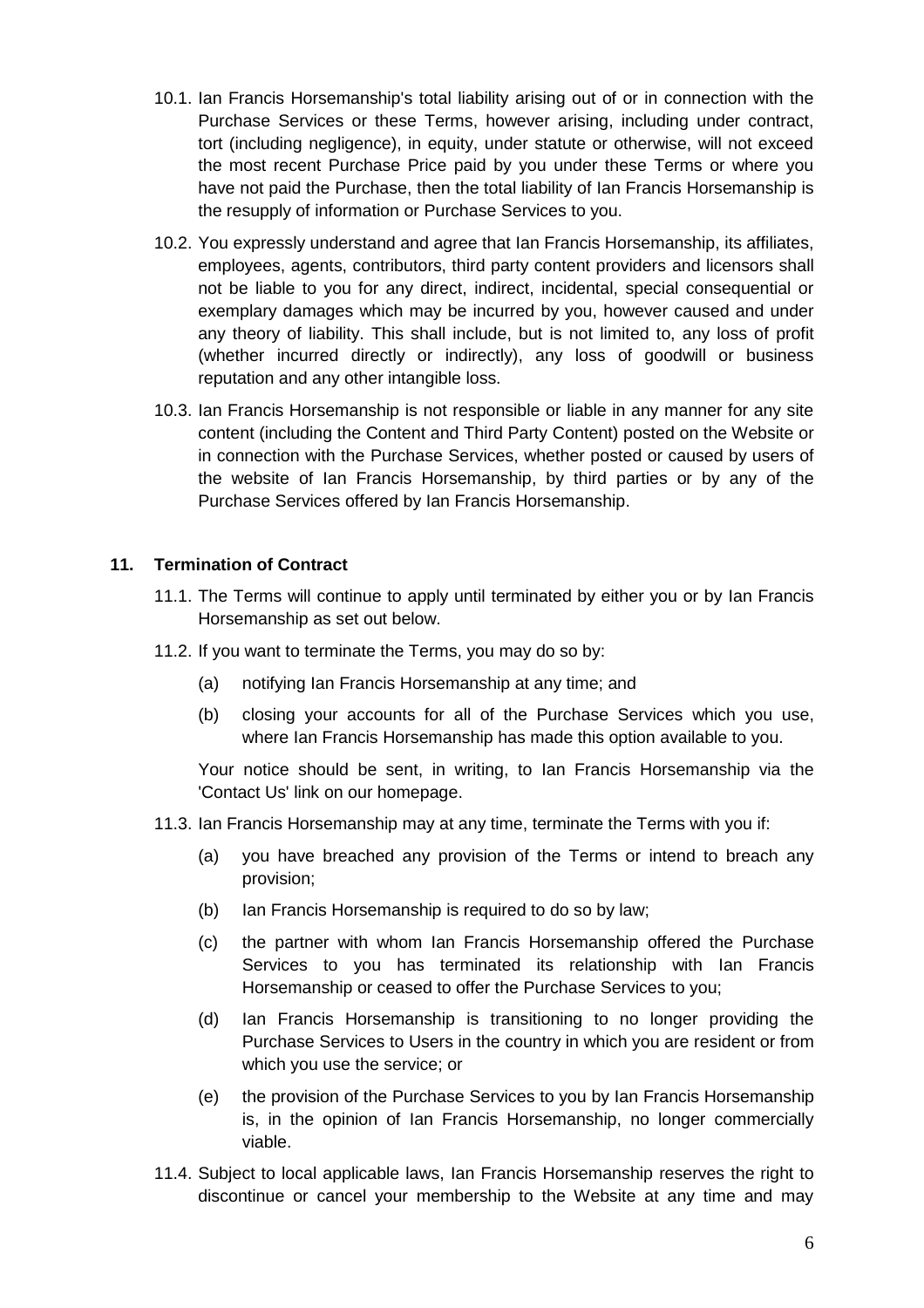- 10.1. Ian Francis Horsemanship's total liability arising out of or in connection with the Purchase Services or these Terms, however arising, including under contract, tort (including negligence), in equity, under statute or otherwise, will not exceed the most recent Purchase Price paid by you under these Terms or where you have not paid the Purchase, then the total liability of Ian Francis Horsemanship is the resupply of information or Purchase Services to you.
- 10.2. You expressly understand and agree that Ian Francis Horsemanship, its affiliates, employees, agents, contributors, third party content providers and licensors shall not be liable to you for any direct, indirect, incidental, special consequential or exemplary damages which may be incurred by you, however caused and under any theory of liability. This shall include, but is not limited to, any loss of profit (whether incurred directly or indirectly), any loss of goodwill or business reputation and any other intangible loss.
- 10.3. Ian Francis Horsemanship is not responsible or liable in any manner for any site content (including the Content and Third Party Content) posted on the Website or in connection with the Purchase Services, whether posted or caused by users of the website of Ian Francis Horsemanship, by third parties or by any of the Purchase Services offered by Ian Francis Horsemanship.

### **11. Termination of Contract**

- 11.1. The Terms will continue to apply until terminated by either you or by Ian Francis Horsemanship as set out below.
- 11.2. If you want to terminate the Terms, you may do so by:
	- (a) notifying Ian Francis Horsemanship at any time; and
	- (b) closing your accounts for all of the Purchase Services which you use, where Ian Francis Horsemanship has made this option available to you.

Your notice should be sent, in writing, to Ian Francis Horsemanship via the 'Contact Us' link on our homepage.

- 11.3. Ian Francis Horsemanship may at any time, terminate the Terms with you if:
	- (a) you have breached any provision of the Terms or intend to breach any provision;
	- (b) Ian Francis Horsemanship is required to do so by law;
	- (c) the partner with whom Ian Francis Horsemanship offered the Purchase Services to you has terminated its relationship with Ian Francis Horsemanship or ceased to offer the Purchase Services to you;
	- (d) Ian Francis Horsemanship is transitioning to no longer providing the Purchase Services to Users in the country in which you are resident or from which you use the service; or
	- (e) the provision of the Purchase Services to you by Ian Francis Horsemanship is, in the opinion of Ian Francis Horsemanship, no longer commercially viable.
- 11.4. Subject to local applicable laws, Ian Francis Horsemanship reserves the right to discontinue or cancel your membership to the Website at any time and may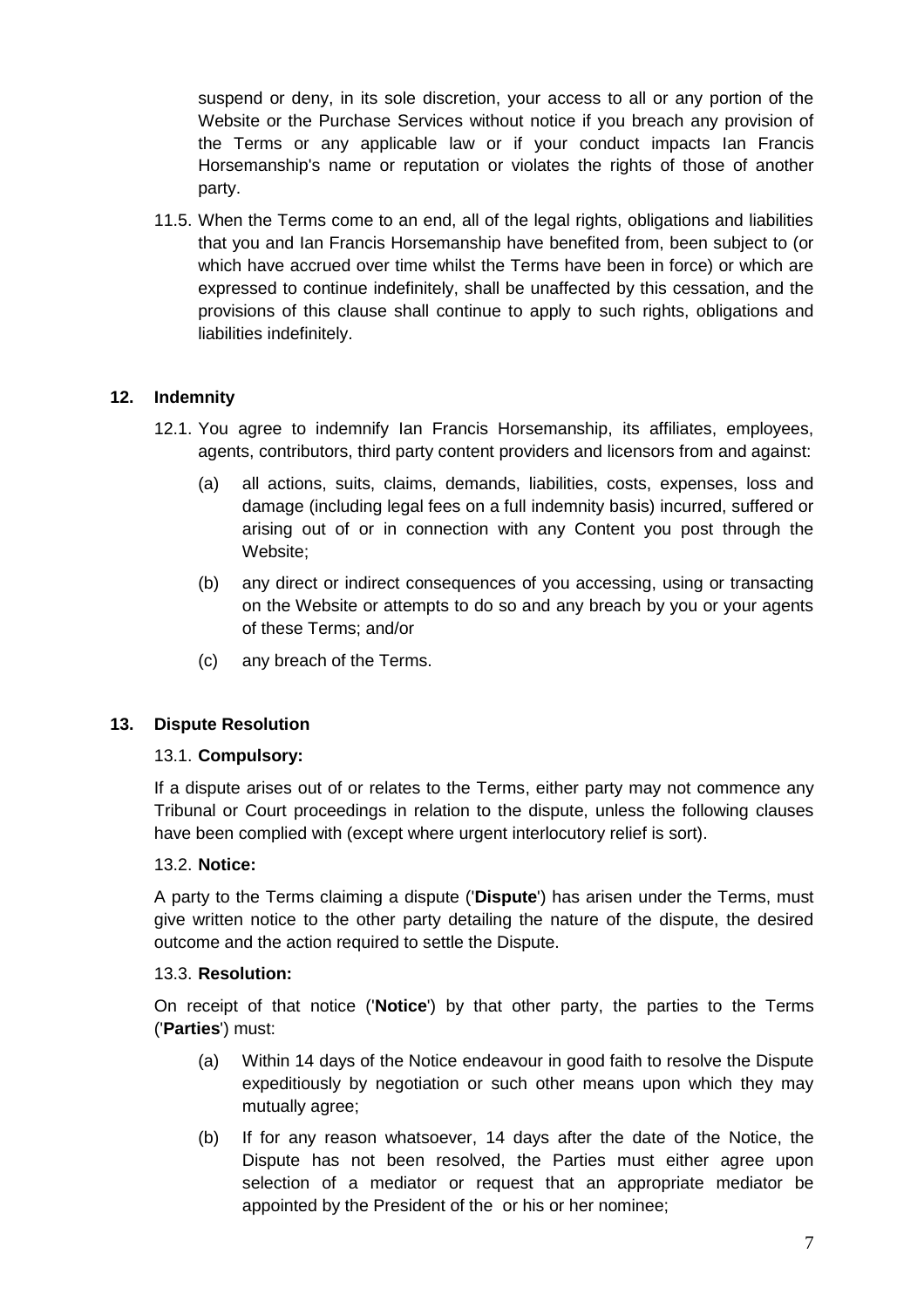suspend or deny, in its sole discretion, your access to all or any portion of the Website or the Purchase Services without notice if you breach any provision of the Terms or any applicable law or if your conduct impacts Ian Francis Horsemanship's name or reputation or violates the rights of those of another party.

11.5. When the Terms come to an end, all of the legal rights, obligations and liabilities that you and Ian Francis Horsemanship have benefited from, been subject to (or which have accrued over time whilst the Terms have been in force) or which are expressed to continue indefinitely, shall be unaffected by this cessation, and the provisions of this clause shall continue to apply to such rights, obligations and liabilities indefinitely.

## **12. Indemnity**

- 12.1. You agree to indemnify Ian Francis Horsemanship, its affiliates, employees, agents, contributors, third party content providers and licensors from and against:
	- (a) all actions, suits, claims, demands, liabilities, costs, expenses, loss and damage (including legal fees on a full indemnity basis) incurred, suffered or arising out of or in connection with any Content you post through the Website;
	- (b) any direct or indirect consequences of you accessing, using or transacting on the Website or attempts to do so and any breach by you or your agents of these Terms; and/or
	- (c) any breach of the Terms.

## **13. Dispute Resolution**

#### 13.1. **Compulsory:**

If a dispute arises out of or relates to the Terms, either party may not commence any Tribunal or Court proceedings in relation to the dispute, unless the following clauses have been complied with (except where urgent interlocutory relief is sort).

## 13.2. **Notice:**

A party to the Terms claiming a dispute ('**Dispute**') has arisen under the Terms, must give written notice to the other party detailing the nature of the dispute, the desired outcome and the action required to settle the Dispute.

#### 13.3. **Resolution:**

On receipt of that notice ('**Notice**') by that other party, the parties to the Terms ('**Parties**') must:

- (a) Within 14 days of the Notice endeavour in good faith to resolve the Dispute expeditiously by negotiation or such other means upon which they may mutually agree;
- (b) If for any reason whatsoever, 14 days after the date of the Notice, the Dispute has not been resolved, the Parties must either agree upon selection of a mediator or request that an appropriate mediator be appointed by the President of the or his or her nominee;